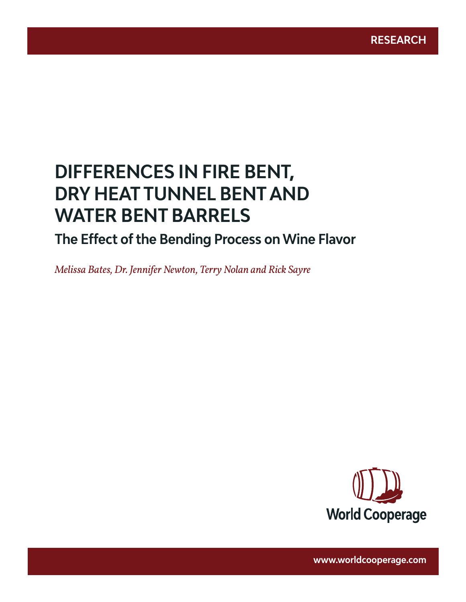# **DIFFERENCES IN FIRE BENT, DRY HEAT TUNNEL BENT AND WATER BENT BARRELS**

**The Effect of the Bending Process on Wine Flavor**

www.worldcooperage.com *Differences in Fire Bent, Dry Heat Tunnel Bent and Water Bent Barrels* **1** 

*Melissa Bates, Dr. Jennifer Newton, Terry Nolan and Rick Sayre*



**www.worldcooperage.com**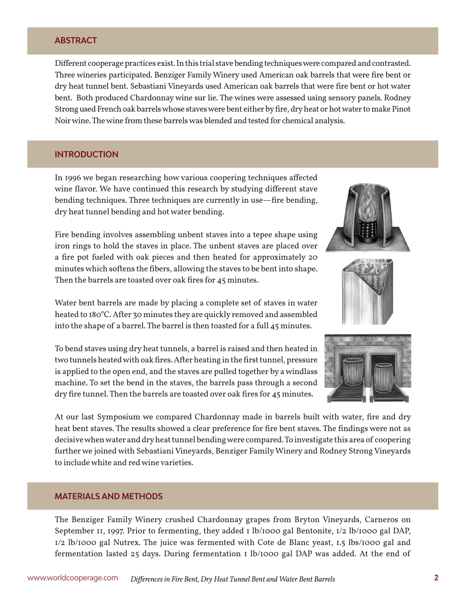# **ABSTRACT**

Different cooperage practices exist. In this trial stave bending techniques were compared and contrasted. Three wineries participated. Benziger Family Winery used American oak barrels that were fire bent or dry heat tunnel bent. Sebastiani Vineyards used American oak barrels that were fire bent or hot water bent. Both produced Chardonnay wine sur lie. The wines were assessed using sensory panels. Rodney Strong used French oak barrels whose staves were bent either by fire, dry heat or hot water to make Pinot Noir wine. The wine from these barrels was blended and tested for chemical analysis.

# **INTRODUCTION**

In 1996 we began researching how various coopering techniques affected wine flavor. We have continued this research by studying different stave bending techniques. Three techniques are currently in use—fire bending, dry heat tunnel bending and hot water bending.

Fire bending involves assembling unbent staves into a tepee shape using iron rings to hold the staves in place. The unbent staves are placed over a fire pot fueled with oak pieces and then heated for approximately 20 minutes which softens the fibers, allowing the staves to be bent into shape. Then the barrels are toasted over oak fires for 45 minutes.

Water bent barrels are made by placing a complete set of staves in water heated to 180°C. After 30 minutes they are quickly removed and assembled into the shape of a barrel. The barrel is then toasted for a full 45 minutes.

To bend staves using dry heat tunnels, a barrel is raised and then heated in two tunnels heated with oak fires. After heating in the first tunnel, pressure is applied to the open end, and the staves are pulled together by a windlass machine. To set the bend in the staves, the barrels pass through a second dry fire tunnel. Then the barrels are toasted over oak fires for 45 minutes.







At our last Symposium we compared Chardonnay made in barrels built with water, fire and dry heat bent staves. The results showed a clear preference for fire bent staves. The findings were not as decisive when water and dry heat tunnel bending were compared. To investigate this area of coopering further we joined with Sebastiani Vineyards, Benziger Family Winery and Rodney Strong Vineyards to include white and red wine varieties.

### **MATERIALS AND METHODS**

The Benziger Family Winery crushed Chardonnay grapes from Bryton Vineyards, Carneros on September 11, 1997. Prior to fermenting, they added 1 lb/1000 gal Bentonite, 1/2 lb/1000 gal DAP, 1/2 lb/1000 gal Nutrex. The juice was fermented with Cote de Blanc yeast, 1.5 lbs/1000 gal and fermentation lasted 25 days. During fermentation 1 lb/1000 gal DAP was added. At the end of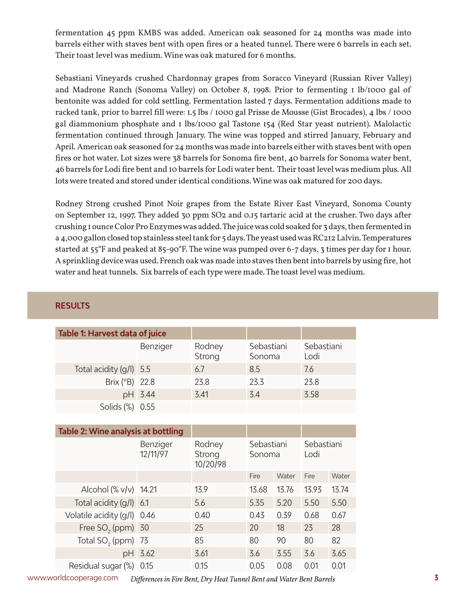fermentation 45 ppm KMBS was added. American oak seasoned for 24 months was made into barrels either with staves bent with open fires or a heated tunnel. There were 6 barrels in each set. Their toast level was medium. Wine was oak matured for 6 months.

Sebastiani Vineyards crushed Chardonnay grapes from Soracco Vineyard (Russian River Valley) and Madrone Ranch (Sonoma Valley) on October 8, 1998. Prior to fermenting 1 lb/1000 gal of bentonite was added for cold settling. Fermentation lasted 7 days. Fermentation additions made to racked tank, prior to barrel fill were: 1.5 lbs / 1000 gal Prisse de Mousse (Gist Brocades), 4 lbs / 1000 gal diammonium phosphate and 1 lbs/1000 gal Tastone 154 (Red Star yeast nutrient). Malolactic fermentation continued through January. The wine was topped and stirred January, February and April. American oak seasoned for 24 months was made into barrels either with staves bent with open fires or hot water. Lot sizes were 38 barrels for Sonoma fire bent, 40 barrels for Sonoma water bent, 46 barrels for Lodi fire bent and 10 barrels for Lodi water bent. Their toast level was medium plus. All lots were treated and stored under identical conditions. Wine was oak matured for 200 days.

Rodney Strong crushed Pinot Noir grapes from the Estate River East Vineyard, Sonoma County on September 12, 1997. They added 30 ppm SO2 and 0.15 tartaric acid at the crusher. Two days after crushing 1 ounce Color Pro Enzymes was added. The juice was cold soaked for 3 days, then fermented in a 4,000 gallon closed top stainless steel tank for 5 days. The yeast used was RC212 Lalvin. Temperatures started at 55°F and peaked at 85-90°F. The wine was pumped over 6-7 days, 3 times per day for 1 hour. A sprinkling device was used. French oak was made into staves then bent into barrels by using fire, hot water and heat tunnels. Six barrels of each type were made. The toast level was medium.

| <b>Table 1: Harvest data of juice</b> |          |                  |                      |                    |
|---------------------------------------|----------|------------------|----------------------|--------------------|
|                                       | Benziger | Rodney<br>Strong | Sebastiani<br>Sonoma | Sebastiani<br>Lodi |
| Total acidity $(g/I)$ 5.5             |          | 6.7              | 8.5                  | 7.6                |
| Brix (°B) 22.8                        |          | 23.8             | 23.3                 | 23.8               |
|                                       | pH 3.44  | 3.41             | 3.4                  | 3.58               |
| Solids (%) 0.55                       |          |                  |                      |                    |

# **RESULTS**

| Table 2: Wine analysis at bottling |                      |                              |                      |       |                    |       |
|------------------------------------|----------------------|------------------------------|----------------------|-------|--------------------|-------|
|                                    | Benziger<br>12/11/97 | Rodney<br>Strong<br>10/20/98 | Sebastiani<br>Sonoma |       | Sebastiani<br>Lodi |       |
|                                    |                      |                              | Fire                 | Water | Fire               | Water |
| Alcohol (% v/v) 14.21              |                      | 13.9                         | 13.68                | 13.76 | 13.93              | 13.74 |
| Total acidity (g/l) 6.1            |                      | 5.6                          | 5.35                 | 5.20  | 5.50               | 5.50  |
| Volatile acidity (g/l) 0.46        |                      | 0.40                         | 0.43                 | 0.39  | 0.68               | 0.67  |
| Free SO <sub>2</sub> (ppm) 30      |                      | 25                           | 20                   | 18    | 23                 | 28    |
| Total SO <sub>2</sub> (ppm) 73     |                      | 85                           | 80                   | 90    | 80                 | 82    |
|                                    | pH 3.62              | 3.61                         | 3.6                  | 3.55  | 3.6                | 3.65  |
| Residual sugar (%)                 | 0.15                 | 0.15                         | 0.05                 | 0.08  | 0.01               | 0.01  |

www.worldcooperage.com *Differences in Fire Bent, Dry Heat Tunnel Bent and Water Bent Barrels* **3**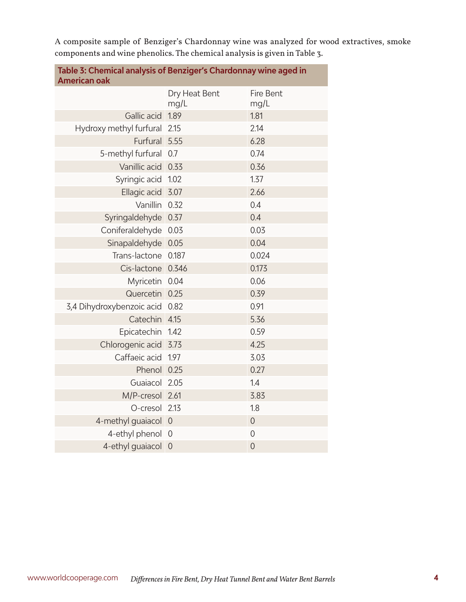| Table 3: Chemical analysis of Benziger's Chardonnay wine aged in<br><b>American oak</b> |                       |                          |  |
|-----------------------------------------------------------------------------------------|-----------------------|--------------------------|--|
|                                                                                         | Dry Heat Bent<br>mg/L | <b>Fire Bent</b><br>mg/L |  |
| Gallic acid                                                                             | 1.89                  | 1.81                     |  |
| Hydroxy methyl furfural                                                                 | 2.15                  | 2.14                     |  |
| Furfural                                                                                | 5.55                  | 6.28                     |  |
| 5-methyl furfural                                                                       | 0.7                   | 0.74                     |  |
| Vanillic acid                                                                           | 0.33                  | 0.36                     |  |
| Syringic acid                                                                           | 1.02                  | 1.37                     |  |
| Ellagic acid                                                                            | 3.07                  | 2.66                     |  |
| Vanillin                                                                                | 0.32                  | 0.4                      |  |
| Syringaldehyde                                                                          | 0.37                  | 0.4                      |  |
| Coniferaldehyde                                                                         | 0.03                  | 0.03                     |  |
| Sinapaldehyde                                                                           | 0.05                  | 0.04                     |  |
| Trans-lactone                                                                           | 0.187                 | 0.024                    |  |
| Cis-lactone                                                                             | 0.346                 | 0.173                    |  |
| Myricetin                                                                               | 0.04                  | 0.06                     |  |
| Quercetin                                                                               | 0.25                  | 0.39                     |  |
| 3,4 Dihydroxybenzoic acid                                                               | 0.82                  | 0.91                     |  |
| Catechin                                                                                | 4.15                  | 5.36                     |  |
| Epicatechin                                                                             | 1.42                  | 0.59                     |  |
| Chlorogenic acid                                                                        | 3.73                  | 4.25                     |  |
| Caffaeic acid                                                                           | 1.97                  | 3.03                     |  |
| Phenol                                                                                  | 0.25                  | 0.27                     |  |
| Guaiacol                                                                                | 2.05                  | 1.4                      |  |
| M/P-cresol                                                                              | 2.61                  | 3.83                     |  |
| O-cresol                                                                                | 2.13                  | 1.8                      |  |
| 4-methyl guaiacol                                                                       | $\mathbf{0}$          | $\mathbf 0$              |  |
| 4-ethyl phenol                                                                          | $\overline{0}$        | $\overline{0}$           |  |
| 4-ethyl guaiacol                                                                        | $\overline{0}$        | $\overline{0}$           |  |

A composite sample of Benziger's Chardonnay wine was analyzed for wood extractives, smoke components and wine phenolics. The chemical analysis is given in Table 3.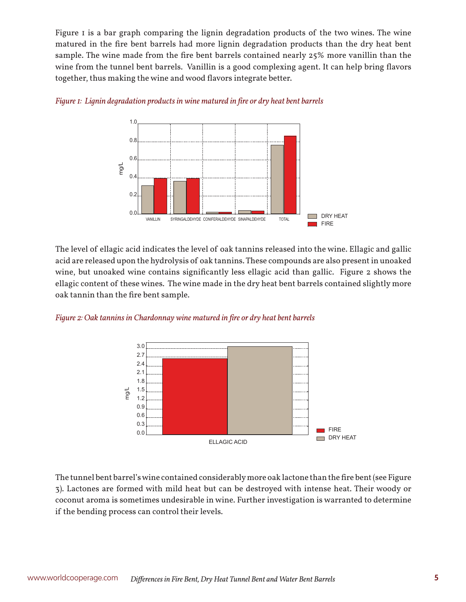Figure 1 is a bar graph comparing the lignin degradation products of the two wines. The wine matured in the fire bent barrels had more lignin degradation products than the dry heat bent sample. The wine made from the fire bent barrels contained nearly 25% more vanillin than the wine from the tunnel bent barrels. Vanillin is a good complexing agent. It can help bring flavors together, thus making the wine and wood flavors integrate better.



## *Figure 1: Lignin degradation products in wine matured in fire or dry heat bent barrels*

The level of ellagic acid indicates the level of oak tannins released into the wine. Ellagic and gallic acid are released upon the hydrolysis of oak tannins. These compounds are also present in unoaked wine, but unoaked wine contains significantly less ellagic acid than gallic. Figure 2 shows the ellagic content of these wines. The wine made in the dry heat bent barrels contained slightly more oak tannin than the fire bent sample.

### *Figure 2: Oak tannins in Chardonnay wine matured in fire or dry heat bent barrels*



The tunnel bent barrel's wine contained considerably more oak lactone than the fire bent (see Figure 3). Lactones are formed with mild heat but can be destroyed with intense heat. Their woody or coconut aroma is sometimes undesirable in wine. Further investigation is warranted to determine if the bending process can control their levels.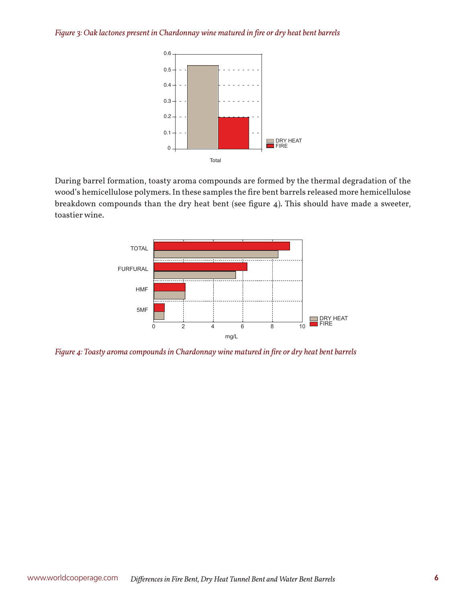*Figure 3: Oak lactones present in Chardonnay wine matured in fire or dry heat bent barrels*



During barrel formation, toasty aroma compounds are formed by the thermal degradation of the wood's hemicellulose polymers. In these samples the fire bent barrels released more hemicellulose breakdown compounds than the dry heat bent (see figure 4). This should have made a sweeter, toastier wine.



*Figure 4: Toasty aroma compounds in Chardonnay wine matured in fire or dry heat bent barrels*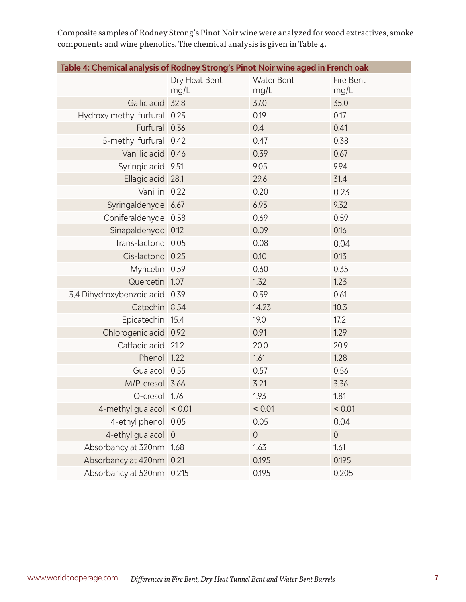| Table 4: Chemical analysis of Rodney Strong's Pinot Noir wine aged in French oak |               |                   |                |
|----------------------------------------------------------------------------------|---------------|-------------------|----------------|
|                                                                                  | Dry Heat Bent | <b>Water Bent</b> | Fire Bent      |
|                                                                                  | mg/L          | mg/L              | mg/L           |
| Gallic acid                                                                      | 32.8          | 37.0              | 35.0           |
| Hydroxy methyl furfural 0.23                                                     |               | 0.19              | 0.17           |
| Furfural 0.36                                                                    |               | 0.4               | 0.41           |
| 5-methyl furfural 0.42                                                           |               | 0.47              | 0.38           |
| Vanillic acid 0.46                                                               |               | 0.39              | 0.67           |
| Syringic acid 9.51                                                               |               | 9.05              | 9.94           |
| Ellagic acid 28.1                                                                |               | 29.6              | 31.4           |
| Vanillin 0.22                                                                    |               | 0.20              | 0.23           |
| Syringaldehyde 6.67                                                              |               | 6.93              | 9.32           |
| Coniferaldehyde 0.58                                                             |               | 0.69              | 0.59           |
| Sinapaldehyde 0.12                                                               |               | 0.09              | 0.16           |
| Trans-lactone 0.05                                                               |               | 0.08              | 0.04           |
| Cis-lactone 0.25                                                                 |               | 0.10              | 0.13           |
| Myricetin 0.59                                                                   |               | 0.60              | 0.35           |
| Quercetin 1.07                                                                   |               | 1.32              | 1.23           |
| 3,4 Dihydroxybenzoic acid 0.39                                                   |               | 0.39              | 0.61           |
| Catechin 8.54                                                                    |               | 14.23             | 10.3           |
| Epicatechin 15.4                                                                 |               | 19.0              | 17.2           |
| Chlorogenic acid 0.92                                                            |               | 0.91              | 1.29           |
| Caffaeic acid 21.2                                                               |               | 20.0              | 20.9           |
| Phenol 1.22                                                                      |               | 1.61              | 1.28           |
| Guaiacol 0.55                                                                    |               | 0.57              | 0.56           |
| M/P-cresol 3.66                                                                  |               | 3.21              | 3.36           |
| O-cresol 1.76                                                                    |               | 1.93              | 1.81           |
| 4-methyl guaiacol < 0.01                                                         |               | < 0.01            | < 0.01         |
| 4-ethyl phenol 0.05                                                              |               | 0.05              | 0.04           |
| 4-ethyl guaiacol 0                                                               |               | $\overline{0}$    | $\overline{0}$ |
| Absorbancy at 320nm 1.68                                                         |               | 1.63              | 1.61           |
| Absorbancy at 420nm 0.21                                                         |               | 0.195             | 0.195          |
| Absorbancy at 520nm 0.215                                                        |               | 0.195             | 0.205          |

Composite samples of Rodney Strong's Pinot Noir wine were analyzed for wood extractives, smoke components and wine phenolics. The chemical analysis is given in Table 4.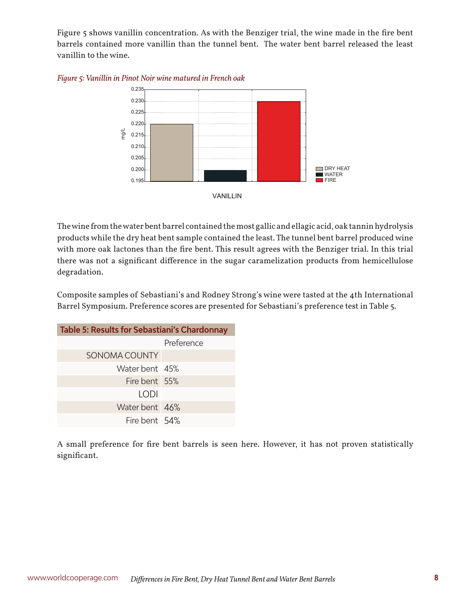Figure 5 shows vanillin concentration. As with the Benziger trial, the wine made in the fire bent barrels contained more vanillin than the tunnel bent. The water bent barrel released the least vanillin to the wine.



*Figure 5: Vanillin in Pinot Noir wine matured in French oak*

The wine from the water bent barrel contained the most gallic and ellagic acid, oak tannin hydrolysis products while the dry heat bent sample contained the least. The tunnel bent barrel produced wine with more oak lactones than the fire bent. This result agrees with the Benziger trial. In this trial there was not a significant difference in the sugar caramelization products from hemicellulose degradation.

Composite samples of Sebastiani's and Rodney Strong's wine were tasted at the 4th International Barrel Symposium. Preference scores are presented for Sebastiani's preference test in Table 5.

| <b>Table 5: Results for Sebastiani's Chardonnay</b> |            |  |  |
|-----------------------------------------------------|------------|--|--|
|                                                     | Preference |  |  |
| <b>SONOMA COUNTY</b>                                |            |  |  |
| Water bent 45%                                      |            |  |  |
| Fire bent 55%                                       |            |  |  |
| LODI                                                |            |  |  |
| Water bent 46%                                      |            |  |  |
| Fire bent 54%                                       |            |  |  |

A small preference for fire bent barrels is seen here. However, it has not proven statistically significant.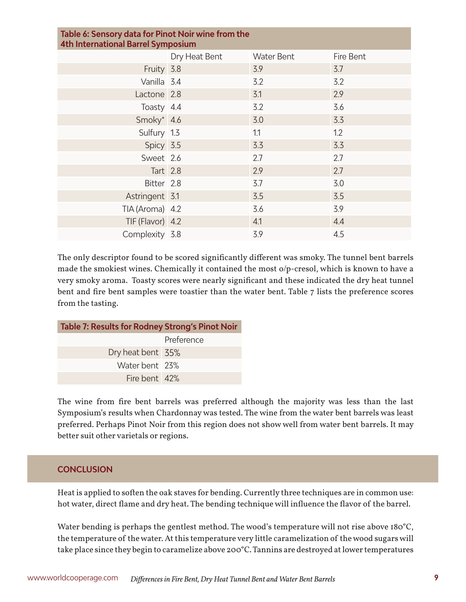| Table 6: Sensory data for Pinot Noir wine from the<br><b>4th International Barrel Symposium</b> |               |                   |           |  |
|-------------------------------------------------------------------------------------------------|---------------|-------------------|-----------|--|
|                                                                                                 | Dry Heat Bent | <b>Water Bent</b> | Fire Bent |  |
| Fruity 3.8                                                                                      |               | 3.9               | 3.7       |  |
| Vanilla 3.4                                                                                     |               | 3.2               | 3.2       |  |
| Lactone 2.8                                                                                     |               | 3.1               | 2.9       |  |
| Toasty 4.4                                                                                      |               | 3.2               | 3.6       |  |
| Smoky* 4.6                                                                                      |               | 3.0               | 3.3       |  |
| Sulfury 1.3                                                                                     |               | 1.1               | 1.2       |  |
| Spicy 3.5                                                                                       |               | 3.3               | 3.3       |  |
| Sweet 2.6                                                                                       |               | 2.7               | 2.7       |  |
| Tart 2.8                                                                                        |               | 2.9               | 2.7       |  |
| Bitter 2.8                                                                                      |               | 3.7               | 3.0       |  |
| Astringent 3.1                                                                                  |               | 3.5               | 3.5       |  |
| TIA (Aroma) 4.2                                                                                 |               | 3.6               | 3.9       |  |
| TIF (Flavor) 4.2                                                                                |               | 4.1               | 4.4       |  |
| Complexity 3.8                                                                                  |               | 3.9               | 4.5       |  |

The only descriptor found to be scored significantly different was smoky. The tunnel bent barrels made the smokiest wines. Chemically it contained the most o/p-cresol, which is known to have a very smoky aroma. Toasty scores were nearly significant and these indicated the dry heat tunnel bent and fire bent samples were toastier than the water bent. Table 7 lists the preference scores from the tasting.

| <b>Table 7: Results for Rodney Strong's Pinot Noir</b> |            |  |  |
|--------------------------------------------------------|------------|--|--|
|                                                        | Preference |  |  |
| Dry heat bent 35%                                      |            |  |  |
| Water bent 23%                                         |            |  |  |
| Fire bent 42%                                          |            |  |  |

The wine from fire bent barrels was preferred although the majority was less than the last Symposium's results when Chardonnay was tested. The wine from the water bent barrels was least preferred. Perhaps Pinot Noir from this region does not show well from water bent barrels. It may better suit other varietals or regions.

## **CONCLUSION**

Heat is applied to soften the oak staves for bending. Currently three techniques are in common use: hot water, direct flame and dry heat. The bending technique will influence the flavor of the barrel.

Water bending is perhaps the gentlest method. The wood's temperature will not rise above 180°C, the temperature of the water. At this temperature very little caramelization of the wood sugars will take place since they begin to caramelize above 200°C. Tannins are destroyed at lower temperatures